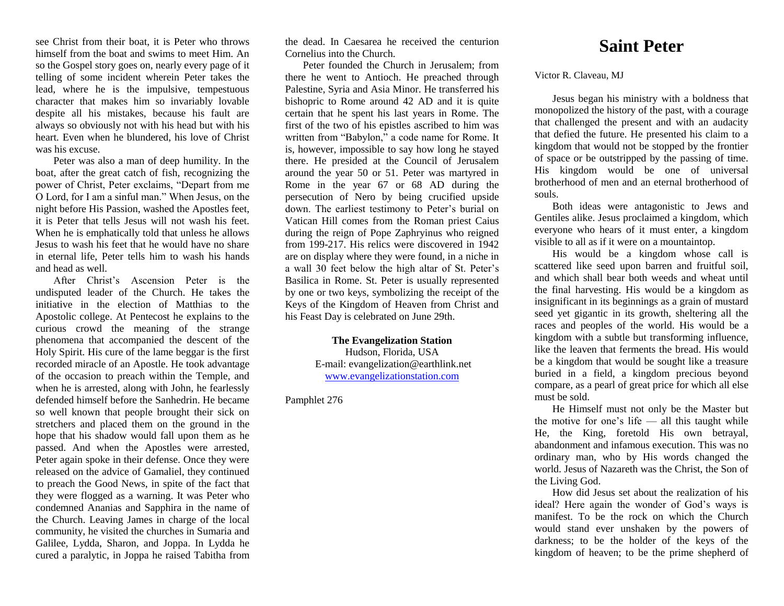see Christ from their boat, it is Peter who throws himself from the boat and swims to meet Him. An so the Gospel story goes on, nearly every page of it telling of some incident wherein Peter takes the lead, where he is the impulsive, tempestuous character that makes him so invariably lovable despite all his mistakes, because his fault are always so obviously not with his head but with his heart. Even when he blundered, his love of Christ was his excuse.

Peter was also a man of deep humility. In the boat, after the great catch of fish, recognizing the power of Christ, Peter exclaims, "Depart from me O Lord, for I am a sinful man." When Jesus, on the night before His Passion, washed the Apostles feet, it is Peter that tells Jesus will not wash his feet. When he is emphatically told that unless he allows Jesus to wash his feet that he would have no share in eternal life, Peter tells him to wash his hands and head as well.

After Christ's Ascension Peter is the undisputed leader of the Church. He takes the initiative in the election of Matthias to the Apostolic college. At Pentecost he explains to the curious crowd the meaning of the strange phenomena that accompanied the descent of the Holy Spirit. His cure of the lame beggar is the first recorded miracle of an Apostle. He took advantage of the occasion to preach within the Temple, and when he is arrested, along with John, he fearlessly defended himself before the Sanhedrin. He became so well known that people brought their sick on stretchers and placed them on the ground in the hope that his shadow would fall upon them as he passed. And when the Apostles were arrested, Peter again spoke in their defense. Once they were released on the advice of Gamaliel, they continued to preach the Good News, in spite of the fact that they were flogged as a warning. It was Peter who condemned Ananias and Sapphira in the name of the Church. Leaving James in charge of the local community, he visited the churches in Sumaria and Galilee, Lydda, Sharon, and Joppa. In Lydda he cured a paralytic, in Joppa he raised Tabitha from

the dead. In Caesarea he received the centurion Cornelius into the Church.

Peter founded the Church in Jerusalem; from there he went to Antioch. He preached through Palestine, Syria and Asia Minor. He transferred his bishopric to Rome around 42 AD and it is quite certain that he spent his last years in Rome. The first of the two of his epistles ascribed to him was written from "Babylon," a code name for Rome. It is, however, impossible to say how long he stayed there. He presided at the Council of Jerusalem around the year 50 or 51*.* Peter was martyred in Rome in the year 67 or 68 AD during the persecution of Nero by being crucified upside down. The earliest testimony to Peter's burial on Vatican Hill comes from the Roman priest Caius during the reign of Pope Zaphryinus who reigned from 199-217. His relics were discovered in 1942 are on display where they were found, in a niche in a wall 30 feet below the high altar of St. Peter's Basilica in Rome. St. Peter is usually represented by one or two keys, symbolizing the receipt of the Keys of the Kingdom of Heaven from Christ and his Feast Day is celebrated on June 29th.

> **The Evangelization Station** Hudson, Florida, USA E-mail: evangelization@earthlink.net [www.evangelizationstation.com](http://www.pjpiisoe.org/)

Pamphlet 276

## **Saint Peter**

Victor R. Claveau, MJ

Jesus began his ministry with a boldness that monopolized the history of the past, with a courage that challenged the present and with an audacity that defied the future. He presented his claim to a kingdom that would not be stopped by the frontier of space or be outstripped by the passing of time. His kingdom would be one of universal brotherhood of men and an eternal brotherhood of souls.

Both ideas were antagonistic to Jews and Gentiles alike. Jesus proclaimed a kingdom, which everyone who hears of it must enter, a kingdom visible to all as if it were on a mountaintop.

His would be a kingdom whose call is scattered like seed upon barren and fruitful soil, and which shall bear both weeds and wheat until the final harvesting. His would be a kingdom as insignificant in its beginnings as a grain of mustard seed yet gigantic in its growth, sheltering all the races and peoples of the world. His would be a kingdom with a subtle but transforming influence, like the leaven that ferments the bread. His would be a kingdom that would be sought like a treasure buried in a field, a kingdom precious beyond compare, as a pearl of great price for which all else must be sold.

He Himself must not only be the Master but the motive for one's life — all this taught while He, the King, foretold His own betrayal, abandonment and infamous execution. This was no ordinary man, who by His words changed the world. Jesus of Nazareth was the Christ, the Son of the Living God.

How did Jesus set about the realization of his ideal? Here again the wonder of God's ways is manifest. To be the rock on which the Church would stand ever unshaken by the powers of darkness; to be the holder of the keys of the kingdom of heaven; to be the prime shepherd of